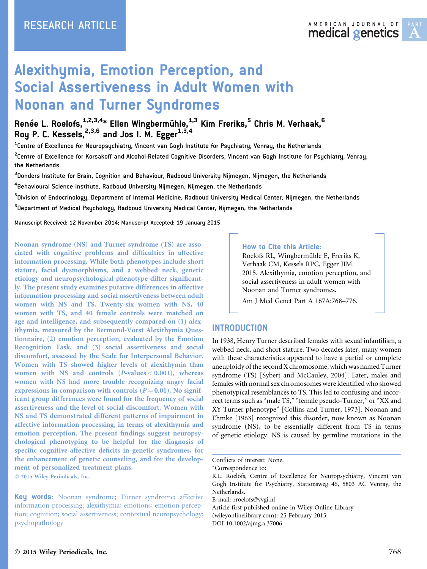# Alexithymia, Emotion Perception, and Social Assertiveness in Adult Women with Noonan and Turner Syndromes

Renée L. Roelofs,<sup>1,2,3,4</sup>\* Ellen Wingbermühle,<sup>1,3</sup> Kim Freriks,<sup>5</sup> Chris M. Verhaak,<sup>6</sup> Roy P. C. Kessels,  $2,3,6$  and Jos I. M. Egger $1,3,4$ 

 $^{\rm 1}$ Centre of Excellence for Neuropsychiatry, Vincent van Gogh Institute for Psychiatry, Venray, the Netherlands

 $^{\text{2}}$ Centre of Excellence for Korsakoff and Alcohol-Related Cognitive Disorders, Vincent van Gogh Institute for Psychiatry, Venray, the Netherlands

 $^{\rm 3}$ Donders Institute for Brain, Cognition and Behaviour, Radboud University Nijmegen, Nijmegen, the Netherlands

 $^{\rm 4}$ Behavioural Science Institute, Radboud University Nijmegen, Nijmegen, the Netherlands

<sup>5</sup>Division of Endocrinology, Department of Internal Medicine, Radboud University Medical Center, Nijmegen, the Netherlands

<sup>6</sup>Department of Medical Psychology, Radboud University Medical Center, Nijmegen, the Netherlands

Manuscript Received: 12 November 2014; Manuscript Accepted: 19 January 2015

Noonan syndrome (NS) and Turner syndrome (TS) are associated with cognitive problems and difficulties in affective information processing. While both phenotypes include short stature, facial dysmorphisms, and a webbed neck, genetic etiology and neuropsychological phenotype differ significantly. The present study examines putative differences in affective information processing and social assertiveness between adult women with NS and TS. Twenty-six women with NS, 40 women with TS, and 40 female controls were matched on age and intelligence, and subsequently compared on (1) alexithymia, measured by the Bermond-Vorst Alexithymia Questionnaire, (2) emotion perception, evaluated by the Emotion Recognition Task, and (3) social assertiveness and social discomfort, assessed by the Scale for Interpersonal Behavior. Women with TS showed higher levels of alexithymia than women with NS and controls  $(P\text{-values} < 0.001)$ , whereas women with NS had more trouble recognizing angry facial expressions in comparison with controls  $(P = 0.01)$ . No significant group differences were found for the frequency of social assertiveness and the level of social discomfort. Women with NS and TS demonstrated different patterns of impairment in affective information processing, in terms of alexithymia and emotion perception. The present findings suggest neuropsychological phenotyping to be helpful for the diagnosis of specific cognitive-affective deficits in genetic syndromes, for the enhancement of genetic counseling, and for the development of personalized treatment plans.

2015 Wiley Periodicals, Inc.

#### How to Cite this Article:

Roelofs RL, Wingbermühle E, Freriks K, Verhaak CM, Kessels RPC, Egger JIM. 2015. Alexithymia, emotion perception, and social assertiveness in adult women with Noonan and Turner syndromes.

Am J Med Genet Part A 167A:768–776.

### INTRODUCTION

In 1938, Henry Turner described females with sexual infantilism, a webbed neck, and short stature. Two decades later, many women with these characteristics appeared to have a partial or complete aneuploidy of the second X chromosome, which was named Turner syndrome (TS) [Sybert and McCauley, 2004]. Later, males and females with normal sex chromosomes were identified who showed phenotypical resemblances to TS. This led to confusing and incorrect terms such as "male TS," "female pseudo-Turner," or "XX and XY Turner phenotype" [Collins and Turner, 1973]. Noonan and Ehmke [1963] recognized this disorder, now known as Noonan syndrome (NS), to be essentially different from TS in terms of genetic etiology. NS is caused by germline mutations in the

-Correspondence to:

Article first published online in Wiley Online Library (wileyonlinelibrary.com): 25 February 2015 DOI 10.1002/ajmg.a.37006

Key words: Noonan syndrome; Turner syndrome; affective information processing; alexithymia; emotions; emotion perception; cognition; social assertiveness; contextual neuropsychology; psychopathology

Conflicts of interest: None.

R.L. Roelofs, Centre of Excellence for Neuropsychiatry, Vincent van Gogh Institute for Psychiatry, Stationsweg 46, 5803 AC Venray, the Netherlands.

E-mail: rroelofs@vvgi.nl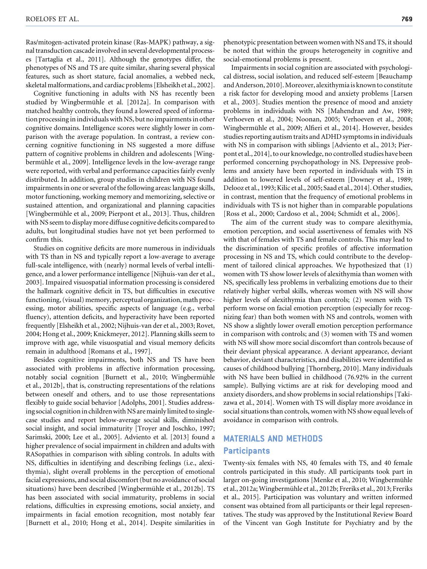Ras/mitogen-activated protein kinase (Ras-MAPK) pathway, a signal transduction cascade involved in several developmental processes [Tartaglia et al., 2011]. Although the genotypes differ, the phenotypes of NS and TS are quite similar, sharing several physical features, such as short stature, facial anomalies, a webbed neck, skeletal malformations, and cardiac problems [Elsheikh et al., 2002].

Cognitive functioning in adults with NS has recently been studied by Wingbermühle et al. [2012a]. In comparison with matched healthy controls, they found a lowered speed of information processing in individuals with NS, but no impairments in other cognitive domains. Intelligence scores were slightly lower in comparison with the average population. In contrast, a review concerning cognitive functioning in NS suggested a more diffuse pattern of cognitive problems in children and adolescents [Wingbermühle et al., 2009]. Intelligence levels in the low-average range were reported, with verbal and performance capacities fairly evenly distributed. In addition, group studies in children with NS found impairments in one or several of the following areas: language skills, motor functioning, working memory and memorizing, selective or sustained attention, and organizational and planning capacities [Wingbermühle et al., 2009; Pierpont et al., 2013]. Thus, children with NS seem to display more diffuse cognitive deficits compared to adults, but longitudinal studies have not yet been performed to confirm this.

Studies on cognitive deficits are more numerous in individuals with TS than in NS and typically report a low-average to average full-scale intelligence, with (nearly) normal levels of verbal intelligence, and a lower performance intelligence [Nijhuis-van der et al., 2003]. Impaired visuospatial information processing is considered the hallmark cognitive deficit in TS, but difficulties in executive functioning, (visual) memory, perceptual organization, math processing, motor abilities, specific aspects of language (e.g., verbal fluency), attention deficits, and hyperactivity have been reported frequently [Elsheikh et al., 2002; Nijhuis-van der et al., 2003; Rovet, 2004; Hong et al., 2009; Knickmeyer, 2012]. Planning skills seem to improve with age, while visuospatial and visual memory deficits remain in adulthood [Romans et al., 1997].

Besides cognitive impairments, both NS and TS have been associated with problems in affective information processing, notably social cognition [Burnett et al., 2010; Wingbermühle et al., 2012b], that is, constructing representations of the relations between oneself and others, and to use those representations flexibly to guide social behavior [Adolphs, 2001]. Studies addressing social cognition in children with NS aremainly limited to singlecase studies and report below-average social skills, diminished social insight, and social immaturity [Troyer and Joschko, 1997; Sarimski, 2000; Lee et al., 2005]. Adviento et al. [2013] found a higher prevalence of social impairment in children and adults with RASopathies in comparison with sibling controls. In adults with NS, difficulties in identifying and describing feelings (i.e., alexithymia), slight overall problems in the perception of emotional facial expressions, and social discomfort (but no avoidance of social situations) have been described [Wingbermühle et al., 2012b]. TS has been associated with social immaturity, problems in social relations, difficulties in expressing emotions, social anxiety, and impairments in facial emotion recognition, most notably fear [Burnett et al., 2010; Hong et al., 2014]. Despite similarities in

phenotypic presentation between women with NS and TS, it should be noted that within the groups heterogeneity in cognitive and social-emotional problems is present.

Impairments in social cognition are associated with psychological distress, social isolation, and reduced self-esteem [Beauchamp and Anderson, 2010].Moreover, alexithymia is known to constitute a risk factor for developing mood and anxiety problems [Larsen et al., 2003]. Studies mention the presence of mood and anxiety problems in individuals with NS [Mahendran and Aw, 1989; Verhoeven et al., 2004; Noonan, 2005; Verhoeven et al., 2008; Wingbermühle et al., 2009; Alfieri et al., 2014]. However, besides studies reporting autism traits and ADHD symptoms in individuals with NS in comparison with siblings [Adviento et al., 2013; Pierpont et al., 2014], to our knowledge, no controlled studies have been performed concerning psychopathology in NS. Depressive problems and anxiety have been reported in individuals with TS in addition to lowered levels of self-esteem [Downey et al., 1989; Delooz et al., 1993; Kilic et al., 2005; Saad et al., 2014]. Other studies, in contrast, mention that the frequency of emotional problems in individuals with TS is not higher than in comparable populations [Ross et al., 2000; Cardoso et al., 2004; Schmidt et al., 2006].

The aim of the current study was to compare alexithymia, emotion perception, and social assertiveness of females with NS with that of females with TS and female controls. This may lead to the discrimination of specific profiles of affective information processing in NS and TS, which could contribute to the development of tailored clinical approaches. We hypothesized that (1) women with TS show lower levels of alexithymia than women with NS, specifically less problems in verbalizing emotions due to their relatively higher verbal skills, whereas women with NS will show higher levels of alexithymia than controls; (2) women with TS perform worse on facial emotion perception (especially for recognizing fear) than both women with NS and controls, women with NS show a slightly lower overall emotion perception performance in comparison with controls; and (3) women with TS and women with NS will show more social discomfort than controls because of their deviant physical appearance. A deviant appearance, deviant behavior, deviant characteristics, and disabilities were identified as causes of childhood bullying [Thornberg, 2010]. Many individuals with NS have been bullied in childhood (76.92% in the current sample). Bullying victims are at risk for developing mood and anxiety disorders, and show problems in social relationships [Takizawa et al., 2014]. Women with TS will display more avoidance in social situations than controls, women with NS show equal levels of avoidance in comparison with controls.

# MATERIALS AND METHODS **Participants**

Twenty-six females with NS, 40 females with TS, and 40 female controls participated in this study. All participants took part in larger on-going investigations [Menke et al., 2010; Wingbermühle et al., 2012a; Wingbermühle et al., 2012b; Freriks et al., 2013; Freriks et al., 2015]. Participation was voluntary and written informed consent was obtained from all participants or their legal representatives. The study was approved by the Institutional Review Board of the Vincent van Gogh Institute for Psychiatry and by the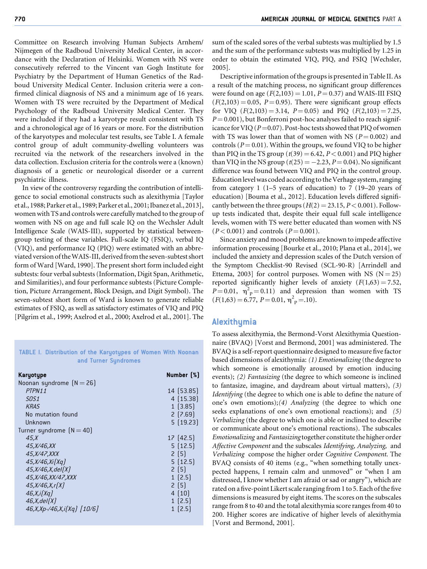Committee on Research involving Human Subjects Arnhem/ Nijmegen of the Radboud University Medical Center, in accordance with the Declaration of Helsinki. Women with NS were consecutively referred to the Vincent van Gogh Institute for Psychiatry by the Department of Human Genetics of the Radboud University Medical Center. Inclusion criteria were a confirmed clinical diagnosis of NS and a minimum age of 16 years. Women with TS were recruited by the Department of Medical Psychology of the Radboud University Medical Center. They were included if they had a karyotype result consistent with TS and a chronological age of 16 years or more. For the distribution of the karyotypes and molecular test results, see Table I. A female control group of adult community-dwelling volunteers was recruited via the network of the researchers involved in the data collection. Exclusion criteria for the controls were a (known) diagnosis of a genetic or neurological disorder or a current psychiatric illness.

In view of the controversy regarding the contribution of intelligence to social emotional constructs such as alexithymia [Taylor et al., 1988; Parker et al., 1989; Parker et al., 2001; Ibanez et al., 2013], women with TS and controls were carefully matched to the group of women with NS on age and full scale IQ on the Wechsler Adult Intelligence Scale (WAIS-III), supported by statistical betweengroup testing of these variables. Full-scale IQ (FSIQ), verbal IQ (VIQ), and performance IQ (PIQ) were estimated with an abbreviated version of the WAIS-III, derived from the seven-subtest short form of Ward [Ward, 1990]. The present short form included eight subtests: four verbal subtests (Information, Digit Span, Arithmetic, and Similarities), and four performance subtests (Picture Completion, Picture Arrangement, Block Design, and Digit Symbol). The seven-subtest short form of Ward is known to generate reliable estimates of FSIQ, as well as satisfactory estimates of VIQ and PIQ [Pilgrim et al., 1999; Axelrod et al., 2000; Axelrod et al., 2001]. The

TABLE I. Distribution of the Karyotypes of Women With Noonan and Turner Syndromes

| Karyotype                         | Number [%] |
|-----------------------------------|------------|
| Noonan syndrome $[N = 26]$        |            |
| PTPN11                            | 14 (53.85) |
| SOS <sub>1</sub>                  | 4[15.38]   |
| <b>KRAS</b>                       | 1(3.85)    |
| No mutation found                 | 2(7.69)    |
| Unknown                           | 5(19.23)   |
| Turner syndrome $[N = 40]$        |            |
| 45.X                              | 17 (42.5)  |
| 45,X/46,XX                        | 5(12.5)    |
| 45, <i>X</i> /47, <i>XXX</i>      | 2(5)       |
| 45, X/46, Xi[Xq]                  | 5[12.5]    |
| 45, X/46, X, del(X)               | 2(5)       |
| 45, X/46, XX/47, XXX              | 1(2.5)     |
| 45, X/46, X, r(X)                 | 2(5)       |
| 46, X, i[Xq]                      | 4(10)      |
| 46, X, del(X)                     | 1(2.5)     |
| $46, X, Xp - 46, X, i[Xq] [10/6]$ | 1(2.5)     |

sum of the scaled sores of the verbal subtests was multiplied by 1.5 and the sum of the performance subtests was multiplied by 1.25 in order to obtain the estimated VIQ, PIQ, and FSIQ [Wechsler, 2005].

Descriptive information of the groups is presented in Table II. As a result of the matching process, no significant group differences were found on age  $(F(2,103) = 1.01, P = 0.37)$  and WAIS-III FSIQ  $(F(2,103) = 0.05, P = 0.95)$ . There were significant group effects for VIQ  $(F(2,103) = 3.14, P = 0.05)$  and PIQ  $(F(2,103) = 7.25,$  $P = 0.001$ , but Bonferroni post-hoc analyses failed to reach significance for VIQ ( $P = 0.07$ ). Post-hoc tests showed that PIQ of women with TS was lower than that of women with NS ( $P = 0.002$ ) and controls ( $P = 0.01$ ). Within the groups, we found VIQ to be higher than PIQ in the TS group  $(t(39) = 6.42, P < 0.001)$  and PIQ higher than VIQ in the NS group  $(t(25) = -2.23, P = 0.04)$ . No significant difference was found between VIQ and PIQ in the control group. Education levelwas coded according to the Verhage system, ranging from category 1 (1–5 years of education) to 7 (19–20 years of education) [Bouma et al., 2012]. Education levels differed significantly between the three groups  $(H(2) = 23.15, P < 0.001)$ . Followup tests indicated that, despite their equal full scale intelligence levels, women with TS were better educated than women with NS  $(P< 0.001)$  and controls  $(P = 0.001)$ .

Since anxiety and mood problems are known to impede affective information processing [Bourke et al., 2010; Plana et al., 2014], we included the anxiety and depression scales of the Dutch version of the Symptom Checklist-90 Revised (SCL-90-R) [Arrindell and Ettema, 2003] for control purposes. Women with NS  $(N = 25)$ reported significantly higher levels of anxiety  $(F(1,63) = 7.52,$  $P = 0.01$ ,  $\eta^2$ <sub>P</sub> = 0.11) and depression than women with TS  $(F(1,63) = 6.77, P = 0.01, \eta^2 = 0.10).$ 

#### Alexithymia

To assess alexithymia, the Bermond-Vorst Alexithymia Questionnaire (BVAQ) [Vorst and Bermond, 2001] was administered. The BVAQ is a self-report questionnaire designed to measure five factor based dimensions of alexithymia: (1) Emotionalizing (the degree to which someone is emotionally aroused by emotion inducing events); (2) Fantasizing (the degree to which someone is inclined to fantasize, imagine, and daydream about virtual matters), (3) Identifying (the degree to which one is able to define the nature of one's own emotions);(4) Analyzing (the degree to which one seeks explanations of one's own emotional reactions); and (5) Verbalizing (the degree to which one is able or inclined to describe or communicate about one's emotional reactions). The subscales Emotionalizing and Fantasizing together constitute the higher order Affective Component and the subscales Identifying, Analyzing, and Verbalizing compose the higher order Cognitive Component. The BVAQ consists of 40 items (e.g., "when something totally unexpected happens, I remain calm and unmoved" or "when I am distressed, I know whether I am afraid or sad or angry"), which are rated on a five-point Likert scale ranging from 1 to 5. Each of the five dimensions is measured by eight items. The scores on the subscales range from 8 to 40 and the total alexithymia score ranges from 40 to 200. Higher scores are indicative of higher levels of alexithymia [Vorst and Bermond, 2001].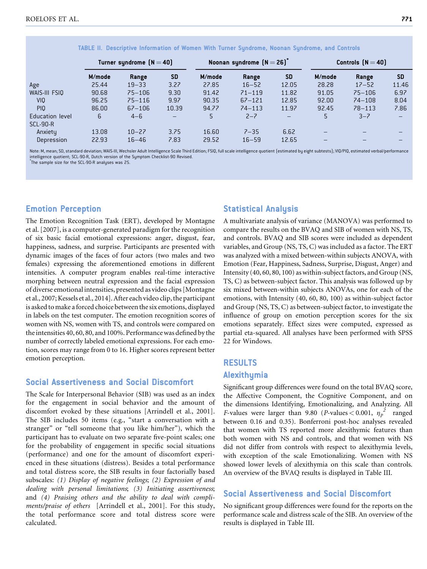|                 | Turner syndrome $(N = 40)$ |            |                          | Noonan syndrome $[N = 26]$ |            |                          | Controls $[N = 40]$ |            |           |
|-----------------|----------------------------|------------|--------------------------|----------------------------|------------|--------------------------|---------------------|------------|-----------|
|                 | M/mode                     | Range      | <b>SD</b>                | M/mode                     | Range      | <b>SD</b>                | M/mode              | Range      | <b>SD</b> |
| Age             | 25.44                      | $19 - 33$  | 3.27                     | 27.85                      | $16 - 52$  | 12.05                    | 28.28               | $17 - 52$  | 11.46     |
| WAIS-III FSIQ   | 90.68                      | $75 - 106$ | 9.30                     | 91.42                      | $71 - 119$ | 11.82                    | 91.05               | $75 - 106$ | 6.97      |
| <b>VIO</b>      | 96.25                      | $75 - 116$ | 9.97                     | 90.35                      | $67 - 121$ | 12.85                    | 92.00               | $74 - 108$ | 8.04      |
| PI <sub>0</sub> | 86.00                      | $67 - 106$ | 10.39                    | 94.77                      | $74 - 113$ | 11.97                    | 92.45               | $78 - 113$ | 7.86      |
| Education level | 6                          | $4 - 6$    | $\overline{\phantom{m}}$ | 5                          | $2 - 7$    | $\overline{\phantom{m}}$ | 5                   | $3 - 7$    |           |
| <b>SCL-90-R</b> |                            |            |                          |                            |            |                          |                     |            |           |
| Anxiety         | 13.08                      | $10 - 27$  | 3.75                     | 16.60                      | $7 - 35$   | 6.62                     | -                   |            |           |
| Depression      | 22.93                      | $16 - 46$  | 7.83                     | 29.52                      | $16 - 59$  | 12.65                    |                     |            |           |

TABLE II. Descriptive Information of Women With Turner Syndrome, Noonan Syndrome, and Controls

Note: M, mean; SD, standard deviation; WAIS-III, Wechsler Adult Intelligence Scale Third Edition; FSIQ, full scale intelligence quotient (estimated by eight subtests); VIQ/PIQ, estimated verbal/performance intelligence quotient; SCL-90-R, Dutch version of the Symptom Checklist-90 Revised.

\* The sample size for the SCL-90-R analyses was 25.

### Emotion Perception

The Emotion Recognition Task (ERT), developed by Montagne et al. [2007], is a computer-generated paradigm for the recognition of six basic facial emotional expressions: anger, disgust, fear, happiness, sadness, and surprise. Participants are presented with dynamic images of the faces of four actors (two males and two females) expressing the aforementioned emotions in different intensities. A computer program enables real-time interactive morphing between neutral expression and the facial expression of diverse emotional intensities, presented as video clips [Montagne et al., 2007; Kessels et al., 2014]. After each video clip, the participant is asked to make aforced choice between the six emotions, displayed in labels on the test computer. The emotion recognition scores of women with NS, women with TS, and controls were compared on the intensities 40, 60, 80, and 100%. Performance was defined by the number of correctly labeled emotional expressions. For each emotion, scores may range from 0 to 16. Higher scores represent better emotion perception.

#### Social Assertiveness and Social Discomfort

The Scale for Interpersonal Behavior (SIB) was used as an index for the engagement in social behavior and the amount of discomfort evoked by these situations [Arrindell et al., 2001]. The SIB includes 50 items (e.g., "start a conversation with a stranger" or "tell someone that you like him/her"), which the participant has to evaluate on two separate five-point scales; one for the probability of engagement in specific social situations (performance) and one for the amount of discomfort experienced in these situations (distress). Besides a total performance and total distress score, the SIB results in four factorially based subscales: (1) Display of negative feelings; (2) Expression of and dealing with personal limitations; (3) Initiating assertiveness; and (4) Praising others and the ability to deal with compliments/praise of others [Arrindell et al., 2001]. For this study, the total performance score and total distress score were calculated.

## Statistical Analysis

A multivariate analysis of variance (MANOVA) was performed to compare the results on the BVAQ and SIB of women with NS, TS, and controls. BVAQ and SIB scores were included as dependent variables, and Group (NS, TS, C) was included as a factor. The ERT was analyzed with a mixed between-within subjects ANOVA, with Emotion (Fear, Happiness, Sadness, Surprise, Disgust, Anger) and Intensity (40, 60, 80, 100) as within-subject factors, and Group (NS, TS, C) as between-subject factor. This analysis was followed up by six mixed between-within subjects ANOVAs, one for each of the emotions, with Intensity (40, 60, 80, 100) as within-subject factor and Group (NS, TS, C) as between-subject factor, to investigate the influence of group on emotion perception scores for the six emotions separately. Effect sizes were computed, expressed as partial eta-squared. All analyses have been performed with SPSS 22 for Windows.

# RESULTS Alexithymia

Significant group differences were found on the total BVAQ score, the Affective Component, the Cognitive Component, and on the dimensions Identifying, Emotionalizing, and Analyzing. All *F*-values were larger than 9.80 (*P*-values < 0.001,  $\eta_p^2$  ranged between 0.16 and 0.35). Bonferroni post-hoc analyses revealed that women with TS reported more alexithymic features than both women with NS and controls, and that women with NS did not differ from controls with respect to alexithymia levels, with exception of the scale Emotionalizing. Women with NS showed lower levels of alexithymia on this scale than controls. An overview of the BVAQ results is displayed in Table III.

### Social Assertiveness and Social Discomfort

No significant group differences were found for the reports on the performance scale and distress scale of the SIB. An overview of the results is displayed in Table III.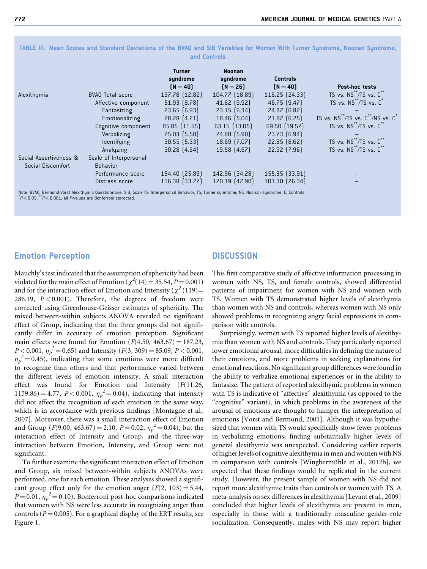|                        |                         | <b>Turner</b><br>syndrome<br>$N = 40$ | <b>Noonan</b><br>syndrome<br>$(N = 26)$ | <b>Controls</b><br>$(N = 40)$ | Post-hoc tests                                  |
|------------------------|-------------------------|---------------------------------------|-----------------------------------------|-------------------------------|-------------------------------------------------|
| Alexithumia            | <b>BVAQ Total score</b> | 137.78 [12.82]                        | 104.77 [18.89]                          | 116.25 [24.33]                | TS vs. NS /TS vs. C                             |
|                        | Affective component     | $51.93$ $(8.78)$                      | $41.62$ (9.92)                          | 46.75 [9.47]                  | TS vs. NS <sup>**</sup> /TS vs. C <sup>*</sup>  |
|                        | Fantasizing             | $23.65$ $(6.93)$                      | 23.15 [6.34]                            | 24.87 [6.82]                  |                                                 |
|                        | Emotionalizing          | $28.28$ $(4.21)$                      | 18.46 (5.04)                            | $21.87$ $(6.75)$              | TS vs. NS**/TS vs. C**/NS vs. C*                |
|                        | Cognitive component     | 85.85 (11.55)                         | $63.15$ $(13.05)$                       | 69.50 (19.52)                 | TS vs. NS <sup>77</sup> /TS vs. C <sup>77</sup> |
|                        | Verbalizing             | $25.03$ $(5.58)$                      | $24.88$ $(5.90)$                        | $23.73$ $(6.94)$              |                                                 |
|                        | ldentifying             | $30.55$ $(5.33)$                      | 18.69 [7.07]                            | $22.85$ $(8.62)$              | TS vs. NS <sup>**</sup> /TS vs. C**             |
|                        | Analyzing               | $30.28$ $(4.64)$                      | 19.58 [4.67]                            | 22.92 [7.96]                  | TS vs. NS <sup>**</sup> /TS vs. C**             |
| Social Assertiveness & | Scale of Interpersonal  |                                       |                                         |                               |                                                 |
| Social Discomfort      | <b>Behavior</b>         |                                       |                                         |                               |                                                 |
|                        | Performance score       | 154.40 [25.89]                        | 142.96 [34.28]                          | 155.85 [33.91]                |                                                 |
|                        | Distress score          | 116.38 [33.77]                        | 120.19 [47.90]                          | 101.30 [26.34]                |                                                 |

TABLE III. Mean Scores and Standard Deviations of the BVAQ and SIB Variables for Women With Turner Syndrome, Noonan Syndrome, and Controls

Note: BVAQ, Bermond-Vorst Alexithymia Questionnaire; SIB, Scale for Interpersonal Behavior; TS, Turner syndrome; NS, Noonan syndrome, C, Controls.<br><sup>\*</sup> P < 0.05, <sup>\*\*</sup> P < 0.001, all *P*-values are Bonferroni corrected.

## Emotion Perception

Mauchly's test indicated that the assumption of sphericity had been violated for the main effect of Emotion ( $\chi^2(14) = 35.54$ ,  $P = 0.001$ ) and for the interaction effect of Emotion and Intensity ( $\chi^2$  (119)= 286.19,  $P < 0.001$ ). Therefore, the degrees of freedom were corrected using Greenhouse-Geisser estimates of sphericity. The mixed between-within subjects ANOVA revealed no significant effect of Group, indicating that the three groups did not significantly differ in accuracy of emotion perception. Significant main effects were found for Emotion ( $F(4.50, 463.67) = 187.23$ ,  $P \le 0.001$ ,  $\eta_p^2 = 0.65$ ) and Intensity ( $F(3, 309) = 85.09$ ,  $P \le 0.001$ ,  $\eta_p^2 = 0.45$ , indicating that some emotions were more difficult to recognize than others and that performance varied between the different levels of emotion intensity. A small interaction effect was found for Emotion and Intensity  $(F(11.26,$ 1159.86) = 4.77, P < 0.001,  $\eta_p^2 = 0.04$ ), indicating that intensity did not affect the recognition of each emotion in the same way, which is in accordance with previous findings [Montagne et al., 2007]. Moreover, there was a small interaction effect of Emotion and Group (*F*(9.00, 463.67) = 2.10. *P* = 0.02,  $\eta_p^2$  = 0.04), but the interaction effect of Intensity and Group, and the three-way interaction between Emotion, Intensity, and Group were not significant.

To further examine the significant interaction effect of Emotion and Group, six mixed between-within subjects ANOVAs were performed, one for each emotion. These analyses showed a significant group effect only for the emotion anger  $(F(2, 103) = 5.44,$  $P = 0.01$ ,  $\eta_p^2 = 0.10$ ). Bonferroni post-hoc comparisons indicated that women with NS were less accurate in recognizing anger than controls ( $P = 0.005$ ). For a graphical display of the ERT results, see Figure 1.

#### **DISCUSSION**

This first comparative study of affective information processing in women with NS, TS, and female controls, showed differential patterns of impairment for women with NS and women with TS. Women with TS demonstrated higher levels of alexithymia than women with NS and controls, whereas women with NS only showed problems in recognizing angry facial expressions in comparison with controls.

Surprisingly, women with TS reported higher levels of alexithymia than women with NS and controls. They particularly reported lower emotional arousal, more difficulties in defining the nature of their emotions, and more problems in seeking explanations for emotional reactions. No significant group differences were found in the ability to verbalize emotional experiences or in the ability to fantasize. The pattern of reported alexithymic problems in women with TS is indicative of "affective" alexithymia (as opposed to the "cognitive" variant), in which problems in the awareness of the arousal of emotions are thought to hamper the interpretation of emotions [Vorst and Bermond, 2001]. Although it was hypothesized that women with TS would specifically show fewer problems in verbalizing emotions, finding substantially higher levels of general alexithymia was unexpected. Considering earlier reports of higher levels of cognitive alexithymia in men and women with NS in comparison with controls [Wingbermühle et al., 2012b], we expected that these findings would be replicated in the current study. However, the present sample of women with NS did not report more alexithymic traits than controls or women with TS. A meta-analysis on sex differences in alexithymia [Levant et al., 2009] concluded that higher levels of alexithymia are present in men, especially in those with a traditionally masculine gender-role socialization. Consequently, males with NS may report higher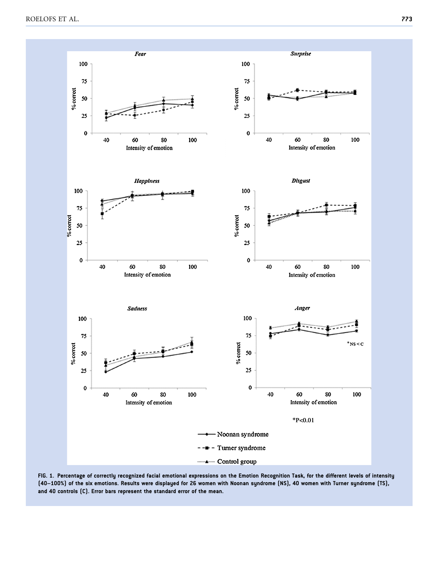

FIG. 1. Percentage of correctly recognized facial emotional expressions on the Emotion Recognition Task, for the different levels of intensity (40–100%) of the six emotions. Results were displayed for 26 women with Noonan syndrome (NS), 40 women with Turner syndrome (TS), and 40 controls (C). Error bars represent the standard error of the mean.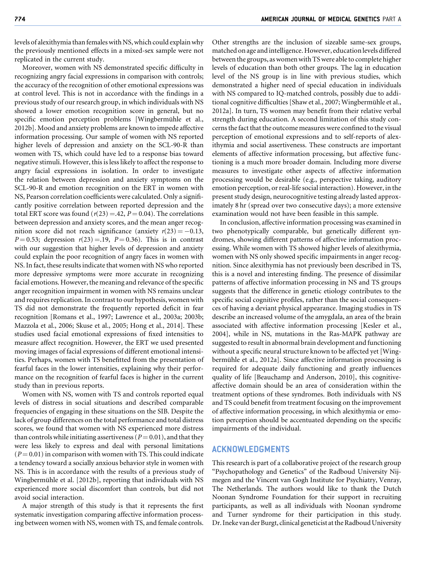levels of alexithymia than females with NS, which could explain why the previously mentioned effects in a mixed-sex sample were not replicated in the current study.

Moreover, women with NS demonstrated specific difficulty in recognizing angry facial expressions in comparison with controls; the accuracy of the recognition of other emotional expressions was at control level. This is not in accordance with the findings in a previous study of our research group, in which individuals with NS showed a lower emotion recognition score in general, but no specific emotion perception problems [Wingbermühle et al., 2012b]. Mood and anxiety problems are known to impede affective information processing. Our sample of women with NS reported higher levels of depression and anxiety on the SCL-90-R than women with TS, which could have led to a response bias toward negative stimuli. However, this is less likely to affect the response to angry facial expressions in isolation. In order to investigate the relation between depression and anxiety symptoms on the SCL-90-R and emotion recognition on the ERT in women with NS, Pearson correlation coefficients were calculated. Only a significantly positive correlation between reported depression and the total ERT score was found ( $r(23) = .42$ ,  $P = 0.04$ ). The correlations between depression and anxiety scores, and the mean anger recognition score did not reach significance (anxiety  $r(23) = -0.13$ ,  $P = 0.53$ ; depression  $r(23) = .19$ ,  $P = 0.36$ ). This is in contrast with our suggestion that higher levels of depression and anxiety could explain the poor recognition of angry faces in women with NS. In fact, these results indicate that women with NS who reported more depressive symptoms were more accurate in recognizing facial emotions. However, the meaning and relevance of the specific anger recognition impairment in women with NS remains unclear and requires replication. In contrast to our hypothesis, women with TS did not demonstrate the frequently reported deficit in fear recognition [Romans et al., 1997; Lawrence et al., 2003a; 2003b; Mazzola et al., 2006; Skuse et al., 2005; Hong et al., 2014]. These studies used facial emotional expressions of fixed intensities to measure affect recognition. However, the ERT we used presented moving images of facial expressions of different emotional intensities. Perhaps, women with TS benefitted from the presentation of fearful faces in the lower intensities, explaining why their performance on the recognition of fearful faces is higher in the current study than in previous reports.

Women with NS, women with TS and controls reported equal levels of distress in social situations and described comparable frequencies of engaging in these situations on the SIB. Despite the lack of group differences on the total performance and total distress scores, we found that women with NS experienced more distress than controls while initiating assertiveness ( $P = 0.01$ ), and that they were less likely to express and deal with personal limitations  $(P = 0.01)$  in comparison with women with TS. This could indicate a tendency toward a socially anxious behavior style in women with NS. This is in accordance with the results of a previous study of Wingbermühle et al. [2012b], reporting that individuals with NS experienced more social discomfort than controls, but did not avoid social interaction.

A major strength of this study is that it represents the first systematic investigation comparing affective information processing between women with NS, women with TS, and female controls. Other strengths are the inclusion of sizeable same-sex groups, matched on age and intelligence. However, education levels differed between the groups, as women with TS were able to complete higher levels of education than both other groups. The lag in education level of the NS group is in line with previous studies, which demonstrated a higher need of special education in individuals with NS compared to IQ-matched controls, possibly due to additional cognitive difficulties [Shaw et al., 2007; Wingbermühle et al., 2012a]. In turn, TS women may benefit from their relative verbal strength during education. A second limitation of this study concerns the fact that the outcome measures were confined to the visual perception of emotional expressions and to self-reports of alexithymia and social assertiveness. These constructs are important elements of affective information processing, but affective functioning is a much more broader domain. Including more diverse measures to investigate other aspects of affective information processing would be desirable (e.g., perspective taking, auditory emotion perception, or real-life social interaction). However, in the present study design, neurocognitive testing already lasted approximately 8 hr (spread over two consecutive days); a more extensive examination would not have been feasible in this sample.

In conclusion, affective information processing was examined in two phenotypically comparable, but genetically different syndromes, showing different patterns of affective information processing. While women with TS showed higher levels of alexithymia, women with NS only showed specific impairments in anger recognition. Since alexithymia has not previously been described in TS, this is a novel and interesting finding. The presence of dissimilar patterns of affective information processing in NS and TS groups suggests that the difference in genetic etiology contributes to the specific social cognitive profiles, rather than the social consequences of having a deviant physical appearance. Imaging studies in TS describe an increased volume of the amygdala, an area of the brain associated with affective information processing [Kesler et al., 2004], while in NS, mutations in the Ras-MAPK pathway are suggested to result in abnormal brain development and functioning without a specific neural structure known to be affected yet [Wingbermühle et al., 2012a]. Since affective information processing is required for adequate daily functioning and greatly influences quality of life [Beauchamp and Anderson, 2010], this cognitiveaffective domain should be an area of consideration within the treatment options of these syndromes. Both individuals with NS and TS could benefit from treatment focusing on the improvement of affective information processing, in which alexithymia or emotion perception should be accentuated depending on the specific impairments of the individual.

#### ACKNOWLEDGMENTS

This research is part of a collaborative project of the research group "Psychopathology and Genetics" of the Radboud University Nijmegen and the Vincent van Gogh Institute for Psychiatry, Venray, The Netherlands. The authors would like to thank the Dutch Noonan Syndrome Foundation for their support in recruiting participants, as well as all individuals with Noonan syndrome and Turner syndrome for their participation in this study. Dr. Ineke van der Burgt, clinical geneticist at the Radboud University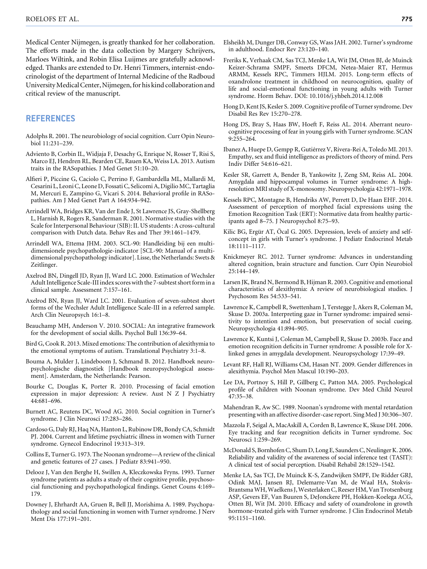Medical Center Nijmegen, is greatly thanked for her collaboration. The efforts made in the data collection by Margery Schrijvers, Marloes Wiltink, and Robin Elisa Luijmes are gratefully acknowledged. Thanks are extended to Dr. Henri Timmers, internist-endocrinologist of the department of Internal Medicine of the Radboud University Medical Center, Nijmegen, for his kind collaboration and critical review of the manuscript.

#### REFERENCES

- Adolphs R. 2001. The neurobiology of social cognition. Curr Opin Neurobiol 11:231–239.
- Adviento B, Corbin IL, Widjaja F, Desachy G, Enrique N, Rosser T, Risi S, Marco EJ, Hendren RL, Bearden CE, Rauen KA, Weiss LA. 2013. Autism traits in the RASopathies. J Med Genet 51:10–20.
- Alfieri P, Piccine G, Caciolo C, Perrino F, Gambardella ML, Mallardi M, Cesarini L, Leoni C, Leone D, Fossati C, Selicomi A, DigilioMC, Tartaglia M, Mercuri E, Zampino G, Vicari S. 2014. Behavioral profile in RASopathies. Am J Med Genet Part A 164:934–942.
- Arrindell WA, Bridges KR, Van der Ende J, St Lawrence JS, Gray-Shellberg L, Harnish R, Rogers R, Sanderman R. 2001. Normative studies with the Scale for Interpersonal Behaviour (SIB): II. US students : A cross-cultural comparison with Dutch data. Behav Res and Ther 39:1461–1479.
- Arrindell WA, Ettema JHM. 2003. SCL-90: Handleiding bij een multidimensionele psychopathologie-indicator [SCL-90: Manual of a multidimensional psychopathology indicator]. Lisse, the Netherlands: Swets & Zeitlinger.
- Axelrod BN, Dingell JD, Ryan JJ, Ward LC. 2000. Estimation of Wechsler Adult Intelligence Scale-III index scores with the 7-subtest short form in a clinical sample. Assessment 7:157–161.
- Axelrod BN, Ryan JJ, Ward LC. 2001. Evaluation of seven-subtest short forms of the Wechsler Adult Intelligence Scale-III in a referred sample. Arch Clin Neuropsych 16:1–8.
- Beauchamp MH, Anderson V. 2010. SOCIAL: An integrative framework for the development of social skills. Psychol Bull 136:39–64.
- Bird G, Cook R. 2013. Mixed emotions: The contribution of alexithymia to the emotional symptoms of autism. Translational Psychiatry 3:1–8.
- Bouma A, Mulder J, Lindeboom J, Schmand B. 2012. Handboek neuropsychologische diagnostiek [Handbook neuropsychological assessment]. Amsterdam, the Netherlands: Pearson.
- Bourke C, Douglas K, Porter R. 2010. Processing of facial emotion expression in major depression: A review. Aust N Z J Psychiatry 44:681–696.
- Burnett AC, Reutens DC, Wood AG. 2010. Social cognition in Turner's syndrome. J Clin Neurosci 17:283–286.
- Cardoso G, Daly RJ, Haq NA, Hanton L, Rubinow DR, Bondy CA, Schmidt PJ. 2004. Current and lifetime psychiatric illness in women with Turner syndrome. Gynecol Endocrinol 19:313–319.
- Collins E, Turner G. 1973. The Noonan syndrome—A review of the clinical and genetic features of 27 cases. J Pediatr 83:941–950.
- Delooz J, Van den Berghe H, Swillen A, Kleczkowska Fryns. 1993. Turner syndrome patients as adults a study of their cognitive profile, psychosocial functioning and psychopathological findings. Genet Couns 4:169– 179.
- Downey J, Ehrhardt AA, Gruen R, Bell JJ, Morishima A. 1989. Psychopathology and social functioning in women with Turner syndrome. J Nerv Ment Dis 177:191–201.
- Elsheikh M, Dunger DB, Conway GS, Wass JAH. 2002. Turner's syndrome in adulthood. Endocr Rev 23:120–140.
- Freriks K, Verhaak CM, Sas TCJ, Menke LA, Wit JM, Otten BJ, de Muinck Keizer-Schrama SMPF, Smeets DFCM, Netea-Maier RT, Hermus ARMM, Kessels RPC, Timmers HJLM. 2015. Long-term effects of oxandrolone treatment in childhood on neurocognition, quality of life and social-emotional functioning in young adults with Turner syndrome. Horm Behav. DOI: 10.1016/j.yhbeh.2014.12.008
- Hong D, Kent JS, Kesler S. 2009. Cognitive profile of Turner syndrome. Dev Disabil Res Rev 15:270–278.
- Hong DS, Bray S, Haas BW, Hoeft F, Reiss AL. 2014. Aberrant neurocognitive processing of fear in young girls with Turner syndrome. SCAN 9:255–264.
- Ibanez A, Huepe D, Gempp R, Gutiérrez V, Rivera-Rei A, Toledo MI. 2013. Empathy, sex and fluid intelligence as predictors of theory of mind. Pers Indiv Differ 54:616–621.
- Kesler SR, Garrett A, Bender B, Yankowitz J, Zeng SM, Reiss AL. 2004. Amygdala and hippocampal volumes in Turner syndrome: A highresolution MRI study of X-monosomy. Neuropsychologia 42:1971–1978.
- Kessels RPC, Montagne B, Hendriks AW, Perrett D, De Haan EHF. 2014. Assessment of perception of morphed facial expressions using the Emotion Recognition Task (ERT): Normative data from healthy participants aged 8–75. J Neuropsychol 8:75–93.
- Kilic BG, Ergür AT, Öcal G. 2005. Depression, levels of anxiety and selfconcept in girls with Turner's syndrome. J Pediatr Endocrinol Metab 18:1111–1117.
- Knickmeyer RC. 2012. Turner syndrome: Advances in understanding altered cognition, brain structure and function. Curr Opin Neurobiol 25:144–149.
- Larsen JK, Brand N, Bermond B, Hijman R. 2003. Cognitive and emotional characteristics of alexithymia: A review of neurobiological studies. J Psychosom Res 54:533–541.
- Lawrence K, Campbell R, Swettenham J, Terstegge J, Akers R, Coleman M, Skuse D. 2003a. Interpreting gaze in Turner syndrome: impaired sensitivity to intention and emotion, but preservation of social cueing. Neuropsychologia 41:894–905.
- Lawrence K, Kuntsi J, Coleman M, Campbell R, Skuse D. 2003b. Face and emotion recognition deficits in Turner syndrome: A possible role for Xlinked genes in amygdala development. Neuropsychology 17:39–49.
- Levant RF, Hall RJ, Williams CM, Hasan NT. 2009. Gender differences in alexithymia. Psychol Men Mascul 10:190–203.
- Lee DA, Portnoy S, Hill P, Gillberg C, Patton MA. 2005. Psychological profile of children with Noonan syndrome. Dev Med Child Neurol 47:35–38.
- Mahendran R, Aw SC. 1989. Noonan's syndrome with mental retardation presenting with an affective disorder-case report. Sing Med J 30:306–307.
- Mazzola F, Seigal A, MacAskill A, Corden B, Lawrence K, Skuse DH. 2006. Eye tracking and fear recognition deficits in Turner syndrome. Soc Neurosci 1:259–269.
- McDonald S, Bornhofen C, Shum D, Long E, Saunders C, Neulinger K. 2006. Reliability and validity of the awareness of social inference test (TASIT): A clinical test of social perception. Disabil Rehabil 28:1529–1542.
- Menke LA, Sas TCJ, De Muinck K-S, Zandwijken SMPF, De Ridder GRJ, Odink MAJ, Jansen RJ, Delemarre-Van M, de Waal HA, Stokvis-BrantsmaWH,Waelkens J,Westerlaken C, Reeser HM, Van Trotsenburg ASP, Gevers EF, Van Buuren S, DeJonckere PH, Hokken-Koelega ACG, Otten BJ, Wit JM. 2010. Efficacy and safety of oxandrolone in growth hormone-treated girls with Turner syndrome. J Clin Endocrinol Metab 95:1151–1160.